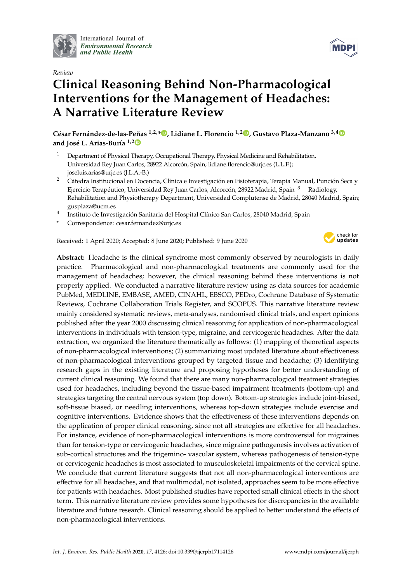

International Journal of *[Environmental Research](http://www.mdpi.com/journal/ijerph) and Public Health*

#### *Review*

# **Clinical Reasoning Behind Non-Pharmacological Interventions for the Management of Headaches: A Narrative Literature Review**

**César Fernández-de-las-Peñas 1,2,\* [,](https://orcid.org/0000-0003-3772-9690) Lidiane L. Florencio 1,2 [,](https://orcid.org/0000-0003-3290-3661) Gustavo Plaza-Manzano 3,[4](https://orcid.org/0000-0003-1596-5027) and José L. Arias-Buría 1,[2](https://orcid.org/0000-0001-8548-4427)**

- <sup>1</sup> Department of Physical Therapy, Occupational Therapy, Physical Medicine and Rehabilitation, Universidad Rey Juan Carlos, 28922 Alcorcón, Spain; lidiane.florencio@urjc.es (L.L.F.); joseluis.arias@urjc.es (J.L.A.-B.)
- <sup>2</sup> Cátedra Institucional en Docencia, Clínica e Investigación en Fisioterapia, Terapia Manual, Punción Seca y Ejercicio Terapéutico, Universidad Rey Juan Carlos, Alcorcón, 28922 Madrid, Spain<sup>3</sup> Radiology, Rehabilitation and Physiotherapy Department, Universidad Complutense de Madrid, 28040 Madrid, Spain; gusplaza@ucm.es
- 4 Instituto de Investigación Sanitaria del Hospital Clínico San Carlos, 28040 Madrid, Spain
- **\*** Correspondence: cesar.fernandez@urjc.es

Received: 1 April 2020; Accepted: 8 June 2020; Published: 9 June 2020



**Abstract:** Headache is the clinical syndrome most commonly observed by neurologists in daily practice. Pharmacological and non-pharmacological treatments are commonly used for the management of headaches; however, the clinical reasoning behind these interventions is not properly applied. We conducted a narrative literature review using as data sources for academic PubMed, MEDLINE, EMBASE, AMED, CINAHL, EBSCO, PEDro, Cochrane Database of Systematic Reviews, Cochrane Collaboration Trials Register, and SCOPUS. This narrative literature review mainly considered systematic reviews, meta-analyses, randomised clinical trials, and expert opinions published after the year 2000 discussing clinical reasoning for application of non-pharmacological interventions in individuals with tension-type, migraine, and cervicogenic headaches. After the data extraction, we organized the literature thematically as follows: (1) mapping of theoretical aspects of non-pharmacological interventions; (2) summarizing most updated literature about effectiveness of non-pharmacological interventions grouped by targeted tissue and headache; (3) identifying research gaps in the existing literature and proposing hypotheses for better understanding of current clinical reasoning. We found that there are many non-pharmacological treatment strategies used for headaches, including beyond the tissue-based impairment treatments (bottom-up) and strategies targeting the central nervous system (top down). Bottom-up strategies include joint-biased, soft-tissue biased, or needling interventions, whereas top-down strategies include exercise and cognitive interventions. Evidence shows that the effectiveness of these interventions depends on the application of proper clinical reasoning, since not all strategies are effective for all headaches. For instance, evidence of non-pharmacological interventions is more controversial for migraines than for tension-type or cervicogenic headaches, since migraine pathogenesis involves activation of sub-cortical structures and the trigemino- vascular system, whereas pathogenesis of tension-type or cervicogenic headaches is most associated to musculoskeletal impairments of the cervical spine. We conclude that current literature suggests that not all non-pharmacological interventions are effective for all headaches, and that multimodal, not isolated, approaches seem to be more effective for patients with headaches. Most published studies have reported small clinical effects in the short term. This narrative literature review provides some hypotheses for discrepancies in the available literature and future research. Clinical reasoning should be applied to better understand the effects of non-pharmacological interventions.

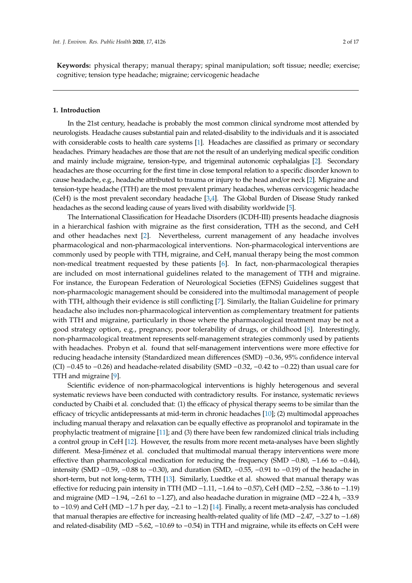**Keywords:** physical therapy; manual therapy; spinal manipulation; soft tissue; needle; exercise; cognitive; tension type headache; migraine; cervicogenic headache

#### **1. Introduction**

In the 21st century, headache is probably the most common clinical syndrome most attended by neurologists. Headache causes substantial pain and related-disability to the individuals and it is associated with considerable costs to health care systems [\[1\]](#page-11-0). Headaches are classified as primary or secondary headaches. Primary headaches are those that are not the result of an underlying medical specific condition and mainly include migraine, tension-type, and trigeminal autonomic cephalalgias [\[2\]](#page-11-1). Secondary headaches are those occurring for the first time in close temporal relation to a specific disorder known to cause headache, e.g., headache attributed to trauma or injury to the head and/or neck [\[2\]](#page-11-1). Migraine and tension-type headache (TTH) are the most prevalent primary headaches, whereas cervicogenic headache (CeH) is the most prevalent secondary headache [\[3,](#page-11-2)[4\]](#page-11-3). The Global Burden of Disease Study ranked headaches as the second leading cause of years lived with disability worldwide [\[5\]](#page-11-4).

The International Classification for Headache Disorders (ICDH-III) presents headache diagnosis in a hierarchical fashion with migraine as the first consideration, TTH as the second, and CeH and other headaches next [\[2\]](#page-11-1). Nevertheless, current management of any headache involves pharmacological and non-pharmacological interventions. Non-pharmacological interventions are commonly used by people with TTH, migraine, and CeH, manual therapy being the most common non-medical treatment requested by these patients [\[6\]](#page-11-5). In fact, non-pharmacological therapies are included on most international guidelines related to the management of TTH and migraine. For instance, the European Federation of Neurological Societies (EFNS) Guidelines suggest that non-pharmacologic management should be considered into the multimodal management of people with TTH, although their evidence is still conflicting [\[7\]](#page-11-6). Similarly, the Italian Guideline for primary headache also includes non-pharmacological intervention as complementary treatment for patients with TTH and migraine, particularly in those where the pharmacological treatment may be not a good strategy option, e.g., pregnancy, poor tolerability of drugs, or childhood [\[8\]](#page-11-7). Interestingly, non-pharmacological treatment represents self-management strategies commonly used by patients with headaches. Probyn et al. found that self-management interventions were more effective for reducing headache intensity (Standardized mean differences (SMD) −0.36, 95% confidence interval (CI) −0.45 to −0.26) and headache-related disability (SMD −0.32, −0.42 to −0.22) than usual care for TTH and migraine [\[9\]](#page-12-0).

Scientific evidence of non-pharmacological interventions is highly heterogenous and several systematic reviews have been conducted with contradictory results. For instance, systematic reviews conducted by Chaibi et al. concluded that: (1) the efficacy of physical therapy seems to be similar than the efficacy of tricyclic antidepressants at mid-term in chronic headaches [\[10\]](#page-12-1); (2) multimodal approaches including manual therapy and relaxation can be equally effective as propranolol and topiramate in the prophylactic treatment of migraine [\[11\]](#page-12-2); and (3) there have been few randomized clinical trials including a control group in CeH [\[12\]](#page-12-3). However, the results from more recent meta-analyses have been slightly different. Mesa-Jiménez et al. concluded that multimodal manual therapy interventions were more effective than pharmacological medication for reducing the frequency (SMD −0.80, −1.66 to −0.44), intensity (SMD −0.59, −0.88 to −0.30), and duration (SMD, −0.55, −0.91 to −0.19) of the headache in short-term, but not long-term, TTH [\[13\]](#page-12-4). Similarly, Luedtke et al. showed that manual therapy was effective for reducing pain intensity in TTH (MD −1.11, −1.64 to −0.57), CeH (MD −2.52, −3.86 to −1.19) and migraine (MD −1.94, −2.61 to −1.27), and also headache duration in migraine (MD −22.4 h, −33.9 to −10.9) and CeH (MD −1.7 h per day, −2.1 to −1.2) [\[14\]](#page-12-5). Finally, a recent meta-analysis has concluded that manual therapies are effective for increasing health-related quality of life (MD −2.47, −3.27 to −1.68) and related-disability (MD −5.62, −10.69 to −0.54) in TTH and migraine, while its effects on CeH were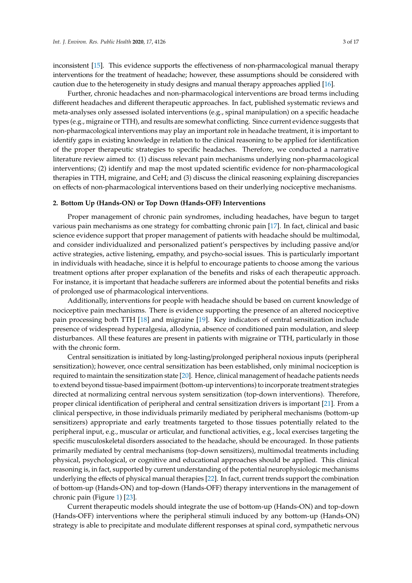inconsistent [\[15\]](#page-12-6). This evidence supports the effectiveness of non-pharmacological manual therapy interventions for the treatment of headache; however, these assumptions should be considered with caution due to the heterogeneity in study designs and manual therapy approaches applied [\[16\]](#page-12-7).

Further, chronic headaches and non-pharmacological interventions are broad terms including different headaches and different therapeutic approaches. In fact, published systematic reviews and meta-analyses only assessed isolated interventions (e.g., spinal manipulation) on a specific headache types (e.g., migraine or TTH), and results are somewhat conflicting. Since current evidence suggests that non-pharmacological interventions may play an important role in headache treatment, it is important to identify gaps in existing knowledge in relation to the clinical reasoning to be applied for identification of the proper therapeutic strategies to specific headaches. Therefore, we conducted a narrative literature review aimed to: (1) discuss relevant pain mechanisms underlying non-pharmacological interventions; (2) identify and map the most updated scientific evidence for non-pharmacological therapies in TTH, migraine, and CeH; and (3) discuss the clinical reasoning explaining discrepancies on effects of non-pharmacological interventions based on their underlying nociceptive mechanisms.

#### **2. Bottom Up (Hands-ON) or Top Down (Hands-OFF) Interventions**

Proper management of chronic pain syndromes, including headaches, have begun to target various pain mechanisms as one strategy for combatting chronic pain [\[17\]](#page-12-8). In fact, clinical and basic science evidence support that proper management of patients with headache should be multimodal, and consider individualized and personalized patient's perspectives by including passive and/or active strategies, active listening, empathy, and psycho-social issues. This is particularly important in individuals with headache, since it is helpful to encourage patients to choose among the various treatment options after proper explanation of the benefits and risks of each therapeutic approach. For instance, it is important that headache sufferers are informed about the potential benefits and risks of prolonged use of pharmacological interventions.

Additionally, interventions for people with headache should be based on current knowledge of nociceptive pain mechanisms. There is evidence supporting the presence of an altered nociceptive pain processing both TTH [\[18\]](#page-12-9) and migraine [\[19\]](#page-12-10). Key indicators of central sensitization include presence of widespread hyperalgesia, allodynia, absence of conditioned pain modulation, and sleep disturbances. All these features are present in patients with migraine or TTH, particularly in those with the chronic form.

Central sensitization is initiated by long-lasting/prolonged peripheral noxious inputs (peripheral sensitization); however, once central sensitization has been established, only minimal nociception is required to maintain the sensitization state [\[20\]](#page-12-11). Hence, clinical management of headache patients needs to extend beyond tissue-based impairment (bottom-up interventions) to incorporate treatment strategies directed at normalizing central nervous system sensitization (top-down interventions). Therefore, proper clinical identification of peripheral and central sensitization drivers is important [\[21\]](#page-12-12). From a clinical perspective, in those individuals primarily mediated by peripheral mechanisms (bottom-up sensitizers) appropriate and early treatments targeted to those tissues potentially related to the peripheral input, e.g., muscular or articular, and functional activities, e.g., local exercises targeting the specific musculoskeletal disorders associated to the headache, should be encouraged. In those patients primarily mediated by central mechanisms (top-down sensitizers), multimodal treatments including physical, psychological, or cognitive and educational approaches should be applied. This clinical reasoning is, in fact, supported by current understanding of the potential neurophysiologic mechanisms underlying the effects of physical manual therapies [\[22\]](#page-12-13). In fact, current trends support the combination of bottom-up (Hands-ON) and top-down (Hands-OFF) therapy interventions in the management of chronic pain (Figure [1\)](#page-3-0) [\[23\]](#page-12-14).

Current therapeutic models should integrate the use of bottom-up (Hands-ON) and top-down (Hands-OFF) interventions where the peripheral stimuli induced by any bottom-up (Hands-ON) strategy is able to precipitate and modulate different responses at spinal cord, sympathetic nervous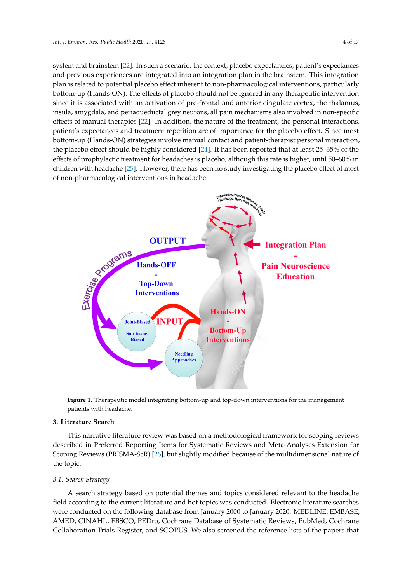system and brainstem [\[22\]](#page-12-13). In such a scenario, the context, placebo expectancies, patient's expectances and previous experiences are integrated into an integration plan in the brainstem. This integration plan is related to potential placebo effect inherent to non-pharmacological interventions, particularly bottom-up (Hands-ON). The effects of placebo should not be ignored in any therapeutic intervention since it is associated with an activation of pre-frontal and anterior cingulate cortex, the thalamus, since it is associated with an activation of pre-frontal and anterior cingulate cortex, the thalamus, insula, amygdala, and periaqueductal grey neurons, all pain mechanisms also involved in non-specific insula, amygdala, and periaqueductal grey neurons, all pain mechanisms also involved in noneffects of manual t[hera](#page-12-13)pies [22]. In addition, the nature of the treatment, the personal interactions, patient's expectances and treatment repetition are of importance for the placebo effect. Since most bottom-up (Hands-ON) strategies involve manual contact and patient-therapist personal interaction, the placebo effect should be highly c[ons](#page-12-15)idered [24]. It has been reported that at least 25-35% of the effects of prophylactic treatment for headaches is placebo, although this rate is higher, until 50-60% in childre[n w](#page-12-16)ith headache [25]. However, there has been no study investigating the placebo effect of most of non-pharmacological interventions in headache.

<span id="page-3-0"></span>

**Figure 1.** Therapeutic model integrating bottom-up and top-down interventions for the management **Figure 1.** Therapeutic model integrating bottom-up and top-down interventions for the management patients with headache. patients with headache.

# **3. Literature Search 3. Literature Search**

This narrative literature review was based on a methodological framework for scoping reviews This narrative literature review was based on a methodological framework for scoping reviews described in Preferred Reporting Items for Systematic Reviews and Meta-Analyses Extension for described in Preferred Reporting Items for Systematic Reviews and Meta-Analyses Extension for Scoping Reviews (PRISMA-ScR) [26], but slightly modified because of the multidimensional nature Scoping Reviews (PRISMA-ScR) [\[26\]](#page-12-17), but slightly modified because of the multidimensional nature of the topic.

# *3.1. Search Strategy 3.1. Search Strategy*

A search strategy based on potential themes and topics considered relevant to the headache field according to the current literature and hot topics was conducted. Electronic literature searches to the current literature and hot topics was conducted. Electronic literature searches were conducted on the following database from January 2000 to January 2020: MEDLINE, EMBASE, AMED, CINAHL, EBSCO, PEDro, Cochrane Database of Systematic Reviews, PubMed, Cochrane AMED, CINAHL, EBSCO, PEDro, Cochrane Database of Systematic Reviews, PubMed, Cochrane Collaboration Trials Register, and SCOPUS. We also screened the reference lists of the papers that Collaboration Trials Register, and SCOPUS. We also screened the reference lists of the papers that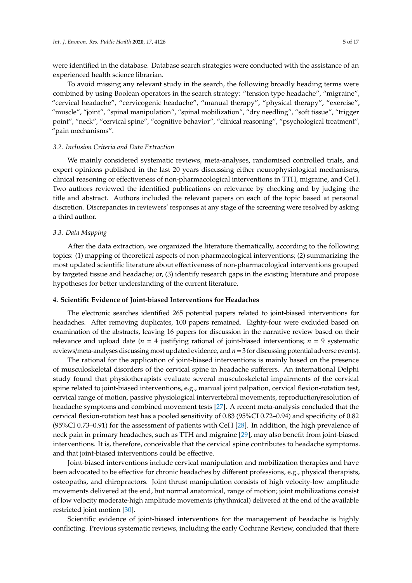were identified in the database. Database search strategies were conducted with the assistance of an experienced health science librarian.

To avoid missing any relevant study in the search, the following broadly heading terms were combined by using Boolean operators in the search strategy: "tension type headache", "migraine", "cervical headache", "cervicogenic headache", "manual therapy", "physical therapy", "exercise", "muscle", "joint", "spinal manipulation", "spinal mobilization", "dry needling", "soft tissue", "trigger point", "neck", "cervical spine", "cognitive behavior", "clinical reasoning", "psychological treatment", "pain mechanisms".

#### *3.2. Inclusion Criteria and Data Extraction*

We mainly considered systematic reviews, meta-analyses, randomised controlled trials, and expert opinions published in the last 20 years discussing either neurophysiological mechanisms, clinical reasoning or effectiveness of non-pharmacological interventions in TTH, migraine, and CeH. Two authors reviewed the identified publications on relevance by checking and by judging the title and abstract. Authors included the relevant papers on each of the topic based at personal discretion. Discrepancies in reviewers' responses at any stage of the screening were resolved by asking a third author.

#### *3.3. Data Mapping*

After the data extraction, we organized the literature thematically, according to the following topics: (1) mapping of theoretical aspects of non-pharmacological interventions; (2) summarizing the most updated scientific literature about effectiveness of non-pharmacological interventions grouped by targeted tissue and headache; or, (3) identify research gaps in the existing literature and propose hypotheses for better understanding of the current literature.

#### **4. Scientific Evidence of Joint-biased Interventions for Headaches**

The electronic searches identified 265 potential papers related to joint-biased interventions for headaches. After removing duplicates, 100 papers remained. Eighty-four were excluded based on examination of the abstracts, leaving 16 papers for discussion in the narrative review based on their relevance and upload date ( $n = 4$  justifying rational of joint-biased interventions;  $n = 9$  systematic reviews/meta-analyses discussing most updated evidence, and *n*=3 for discussing potential adverse events).

The rational for the application of joint-biased interventions is mainly based on the presence of musculoskeletal disorders of the cervical spine in headache sufferers. An international Delphi study found that physiotherapists evaluate several musculoskeletal impairments of the cervical spine related to joint-biased interventions, e.g., manual joint palpation, cervical flexion-rotation test, cervical range of motion, passive physiological intervertebral movements, reproduction/resolution of headache symptoms and combined movement tests [\[27\]](#page-12-18). A recent meta-analysis concluded that the cervical flexion-rotation test has a pooled sensitivity of 0.83 (95%CI 0.72–0.94) and specificity of 0.82 (95%CI 0.73–0.91) for the assessment of patients with CeH [\[28\]](#page-13-0). In addition, the high prevalence of neck pain in primary headaches, such as TTH and migraine [\[29\]](#page-13-1), may also benefit from joint-biased interventions. It is, therefore, conceivable that the cervical spine contributes to headache symptoms. and that joint-biased interventions could be effective.

Joint-biased interventions include cervical manipulation and mobilization therapies and have been advocated to be effective for chronic headaches by different professions, e.g., physical therapists, osteopaths, and chiropractors. Joint thrust manipulation consists of high velocity-low amplitude movements delivered at the end, but normal anatomical, range of motion; joint mobilizations consist of low velocity moderate-high amplitude movements (rhythmical) delivered at the end of the available restricted joint motion [\[30\]](#page-13-2).

Scientific evidence of joint-biased interventions for the management of headache is highly conflicting. Previous systematic reviews, including the early Cochrane Review, concluded that there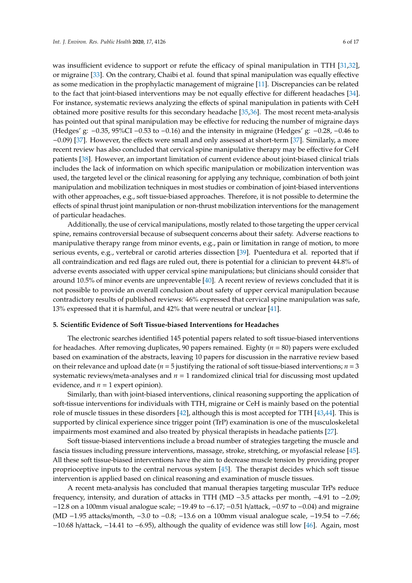was insufficient evidence to support or refute the efficacy of spinal manipulation in TTH [\[31,](#page-13-3)[32\]](#page-13-4), or migraine [\[33\]](#page-13-5). On the contrary, Chaibi et al. found that spinal manipulation was equally effective as some medication in the prophylactic management of migraine [\[11\]](#page-12-2). Discrepancies can be related to the fact that joint-biased interventions may be not equally effective for different headaches [\[34\]](#page-13-6). For instance, systematic reviews analyzing the effects of spinal manipulation in patients with CeH obtained more positive results for this secondary headache [\[35](#page-13-7)[,36\]](#page-13-8). The most recent meta-analysis has pointed out that spinal manipulation may be effective for reducing the number of migraine days (Hedges' g: −0.35, 95%CI −0.53 to −0.16) and the intensity in migraine (Hedges' g: −0.28, −0.46 to −0.09) [\[37\]](#page-13-9). However, the effects were small and only assessed at short-term [\[37\]](#page-13-9). Similarly, a more recent review has also concluded that cervical spine manipulative therapy may be effective for CeH patients [\[38\]](#page-13-10). However, an important limitation of current evidence about joint-biased clinical trials includes the lack of information on which specific manipulation or mobilization intervention was used, the targeted level or the clinical reasoning for applying any technique, combination of both joint manipulation and mobilization techniques in most studies or combination of joint-biased interventions with other approaches, e.g., soft tissue-biased approaches. Therefore, it is not possible to determine the effects of spinal thrust joint manipulation or non-thrust mobilization interventions for the management of particular headaches.

Additionally, the use of cervical manipulations, mostly related to those targeting the upper cervical spine, remains controversial because of subsequent concerns about their safety. Adverse reactions to manipulative therapy range from minor events, e.g., pain or limitation in range of motion, to more serious events, e.g., vertebral or carotid arteries dissection [\[39\]](#page-13-11). Puentedura et al. reported that if all contraindication and red flags are ruled out, there is potential for a clinician to prevent 44.8% of adverse events associated with upper cervical spine manipulations; but clinicians should consider that around 10.5% of minor events are unpreventable [\[40\]](#page-13-12). A recent review of reviews concluded that it is not possible to provide an overall conclusion about safety of upper cervical manipulation because contradictory results of published reviews: 46% expressed that cervical spine manipulation was safe, 13% expressed that it is harmful, and 42% that were neutral or unclear [\[41\]](#page-13-13).

#### **5. Scientific Evidence of Soft Tissue-biased Interventions for Headaches**

The electronic searches identified 145 potential papers related to soft tissue-biased interventions for headaches. After removing duplicates, 90 papers remained. Eighty (*n* = 80) papers were excluded based on examination of the abstracts, leaving 10 papers for discussion in the narrative review based on their relevance and upload date ( $n = 5$  justifying the rational of soft tissue-biased interventions;  $n = 3$ systematic reviews/meta-analyses and *n* = 1 randomized clinical trial for discussing most updated evidence, and  $n = 1$  expert opinion).

Similarly, than with joint-biased interventions, clinical reasoning supporting the application of soft-tissue interventions for individuals with TTH, migraine or CeH is mainly based on the potential role of muscle tissues in these disorders [\[42\]](#page-13-14), although this is most accepted for TTH [\[43](#page-13-15)[,44\]](#page-13-16). This is supported by clinical experience since trigger point (TrP) examination is one of the musculoskeletal impairments most examined and also treated by physical therapists in headache patients [\[27\]](#page-12-18).

Soft tissue-biased interventions include a broad number of strategies targeting the muscle and fascia tissues including pressure interventions, massage, stroke, stretching, or myofascial release [\[45\]](#page-13-17). All these soft tissue-biased interventions have the aim to decrease muscle tension by providing proper proprioceptive inputs to the central nervous system [\[45\]](#page-13-17). The therapist decides which soft tissue intervention is applied based on clinical reasoning and examination of muscle tissues.

A recent meta-analysis has concluded that manual therapies targeting muscular TrPs reduce frequency, intensity, and duration of attacks in TTH (MD −3.5 attacks per month, −4.91 to −2.09; −12.8 on a 100mm visual analogue scale; −19.49 to −6.17; −0.51 h/attack, −0.97 to −0.04) and migraine (MD −1.95 attacks/month, −3.0 to −0.8; −13.6 on a 100mm visual analogue scale, −19.54 to −7.66; −10.68 h/attack, −14.41 to −6.95), although the quality of evidence was still low [\[46\]](#page-13-18). Again, most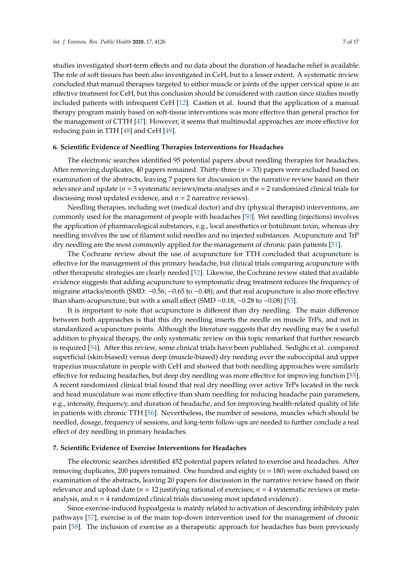studies investigated short-term effects and no data about the duration of headache relief is available. The role of soft tissues has been also investigated in CeH, but to a lesser extent. A systematic review concluded that manual therapies targeted to either muscle or joints of the upper cervical spine is an effective treatment for CeH, but this conclusion should be considered with caution since studies mostly included patients with infrequent CeH [\[12\]](#page-12-3). Castien et al. found that the application of a manual therapy program mainly based on soft-tissue interventions was more effective than general practice for the management of CTTH [\[47\]](#page-14-0). However, it seems that multimodal approaches are more effective for reducing pain in TTH [\[48\]](#page-14-1) and CeH [\[49\]](#page-14-2).

#### **6. Scientific Evidence of Needling Therapies Interventions for Headaches**

The electronic searches identified 95 potential papers about needling therapies for headaches. After removing duplicates, 40 papers remained. Thirty-three (*n* = 33) papers were excluded based on examination of the abstracts, leaving 7 papers for discussion in the narrative review based on their relevance and update (*n* = 3 systematic reviews/meta-analyses and *n* = 2 randomized clinical trials for discussing most updated evidence, and  $n = 2$  narrative reviews).

Needling therapies, including wet (medical doctor) and dry (physical therapist) interventions, are commonly used for the management of people with headaches [\[50\]](#page-14-3). Wet needling (injections) involves the application of pharmacological substances, e.g., local anesthetics or botulinum toxin, whereas dry needling involves the use of filament solid needles and no injected substances. Acupuncture and TrP dry needling are the most commonly applied for the management of chronic pain patients [\[51\]](#page-14-4).

The Cochrane review about the use of acupuncture for TTH concluded that acupuncture is effective for the management of this primary headache, but clinical trials comparing acupuncture with other therapeutic strategies are clearly needed [\[52\]](#page-14-5). Likewise, the Cochrane review stated that available evidence suggests that adding acupuncture to symptomatic drug treatment reduces the frequency of migraine attacks/month (SMD: −0.56; −0.65 to −0.48); and that real acupuncture is also more effective than sham-acupuncture, but with a small effect (SMD  $-0.18$ ,  $-0.28$  to  $-0.08$ ) [\[53\]](#page-14-6).

It is important to note that acupuncture is different than dry needling. The main difference between both approaches is that this dry needling inserts the needle on muscle TrPs, and not in standardized acupuncture points. Although the literature suggests that dry needling may be a useful addition to physical therapy, the only systematic review on this topic remarked that further research is required [\[54\]](#page-14-7). After this review, some clinical trials have been published. Sedighi et al. compared superficial (skin-biased) versus deep (muscle-biased) dry needing over the suboccipital and upper trapezius musculature in people with CeH and showed that both needling approaches were similarly effective for reducing headaches, but deep dry needling was more effective for improving function [\[55\]](#page-14-8). A recent randomized clinical trial found that real dry needling over active TrPs located in the neck and head musculature was more effective than sham needling for reducing headache pain parameters, e.g., intensity, frequency, and duration of headache, and for improving health-related quality of life in patients with chronic TTH [\[56\]](#page-14-9). Nevertheless, the number of sessions, muscles which should be needled, dosage, frequency of sessions, and long-term follow-ups are needed to further conclude a real effect of dry needling in primary headaches.

#### **7. Scientific Evidence of Exercise Interventions for Headaches**

The electronic searches identified 452 potential papers related to exercise and headaches. After removing duplicates, 200 papers remained. One hundred and eighty (*n* = 180) were excluded based on examination of the abstracts, leaving 20 papers for discussion in the narrative review based on their relevance and upload date ( $n = 12$  justifying rational of exercises;  $n = 4$  systematic reviews or metaanalysis, and  $n = 4$  randomized clinical trials discussing most updated evidence).

Since exercise-induced hypoalgesia is mainly related to activation of descending inhibitory pain pathways [\[57\]](#page-14-10), exercise is of the main top-down intervention used for the management of chronic pain [\[58\]](#page-14-11). The inclusion of exercise as a therapeutic approach for headaches has been previously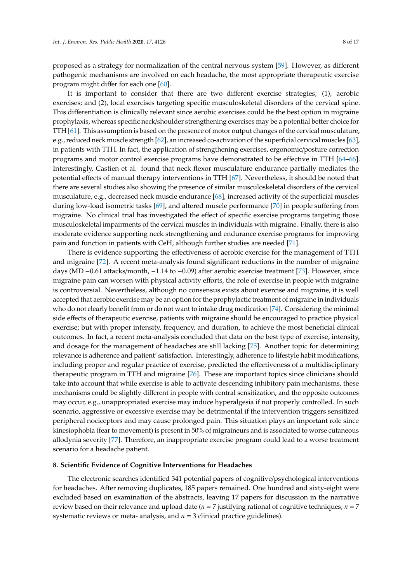proposed as a strategy for normalization of the central nervous system [\[59\]](#page-14-12). However, as different pathogenic mechanisms are involved on each headache, the most appropriate therapeutic exercise program might differ for each one [\[60\]](#page-14-13).

It is important to consider that there are two different exercise strategies; (1), aerobic exercises; and (2), local exercises targeting specific musculoskeletal disorders of the cervical spine. This differentiation is clinically relevant since aerobic exercises could be the best option in migraine prophylaxis, whereas specific neck/shoulder strengthening exercises may be a potential better choice for TTH [\[61\]](#page-14-14). This assumption is based on the presence of motor output changes of the cervical musculature, e.g., reduced neck muscle strength [\[62\]](#page-14-15), an increased co-activation of the superficial cervical muscles [\[63\]](#page-14-16), in patients with TTH. In fact, the application of strengthening exercises, ergonomic/posture correction programs and motor control exercise programs have demonstrated to be effective in TTH [\[64–](#page-14-17)[66\]](#page-14-18). Interestingly, Castien et al. found that neck flexor musculature endurance partially mediates the potential effects of manual therapy interventions in TTH [\[67\]](#page-14-19). Nevertheless, it should be noted that there are several studies also showing the presence of similar musculoskeletal disorders of the cervical musculature, e.g., decreased neck muscle endurance [\[68\]](#page-15-0), increased activity of the superficial muscles during low-load isometric tasks [\[69\]](#page-15-1), and altered muscle performance [\[70\]](#page-15-2) in people suffering from migraine. No clinical trial has investigated the effect of specific exercise programs targeting those musculoskeletal impairments of the cervical muscles in individuals with migraine. Finally, there is also moderate evidence supporting neck strengthening and endurance exercise programs for improving pain and function in patients with CeH, although further studies are needed [\[71\]](#page-15-3).

There is evidence supporting the effectiveness of aerobic exercise for the management of TTH and migraine [\[72\]](#page-15-4). A recent meta-analysis found significant reductions in the number of migraine days (MD −0.61 attacks/month, −1.14 to −0.09) after aerobic exercise treatment [\[73\]](#page-15-5). However, since migraine pain can worsen with physical activity efforts, the role of exercise in people with migraine is controversial. Nevertheless, although no consensus exists about exercise and migraine, it is well accepted that aerobic exercise may be an option for the prophylactic treatment of migraine in individuals who do not clearly benefit from or do not want to intake drug medication [\[74\]](#page-15-6). Considering the minimal side effects of therapeutic exercise, patients with migraine should be encouraged to practice physical exercise; but with proper intensity, frequency, and duration, to achieve the most beneficial clinical outcomes. In fact, a recent meta-analysis concluded that data on the best type of exercise, intensity, and dosage for the management of headaches are still lacking [\[75\]](#page-15-7). Another topic for determining relevance is adherence and patient' satisfaction. Interestingly, adherence to lifestyle habit modifications, including proper and regular practice of exercise, predicted the effectiveness of a multidisciplinary therapeutic program in TTH and migraine [\[76\]](#page-15-8). These are important topics since clinicians should take into account that while exercise is able to activate descending inhibitory pain mechanisms, these mechanisms could be slightly different in people with central sensitization, and the opposite outcomes may occur, e.g., unappropriated exercise may induce hyperalgesia if not properly controlled. In such scenario, aggressive or excessive exercise may be detrimental if the intervention triggers sensitized peripheral nociceptors and may cause prolonged pain. This situation plays an important role since kinesiophobia (fear to movement) is present in 50% of migraineurs and is associated to worse cutaneous allodynia severity [\[77\]](#page-15-9). Therefore, an inappropriate exercise program could lead to a worse treatment scenario for a headache patient.

#### **8. Scientific Evidence of Cognitive Interventions for Headaches**

The electronic searches identified 341 potential papers of cognitive/psychological interventions for headaches. After removing duplicates, 185 papers remained. One hundred and sixty-eight were excluded based on examination of the abstracts, leaving 17 papers for discussion in the narrative review based on their relevance and upload date (*n* = 7 justifying rational of cognitive techniques; *n* = 7 systematic reviews or meta- analysis, and  $n = 3$  clinical practice guidelines).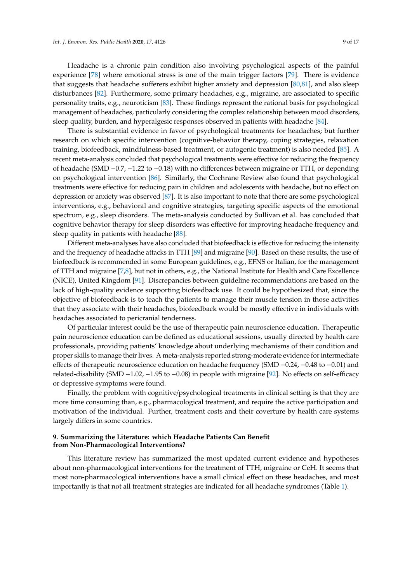Headache is a chronic pain condition also involving psychological aspects of the painful experience [\[78\]](#page-15-10) where emotional stress is one of the main trigger factors [\[79\]](#page-15-11). There is evidence that suggests that headache sufferers exhibit higher anxiety and depression [\[80](#page-15-12)[,81\]](#page-15-13), and also sleep disturbances [\[82\]](#page-15-14). Furthermore, some primary headaches, e.g., migraine, are associated to specific personality traits, e.g., neuroticism [\[83\]](#page-15-15). These findings represent the rational basis for psychological management of headaches, particularly considering the complex relationship between mood disorders, sleep quality, burden, and hyperalgesic responses observed in patients with headache [\[84\]](#page-15-16).

There is substantial evidence in favor of psychological treatments for headaches; but further research on which specific intervention (cognitive-behavior therapy, coping strategies, relaxation training, biofeedback, mindfulness-based treatment, or autogenic treatment) is also needed [\[85\]](#page-15-17). A recent meta-analysis concluded that psychological treatments were effective for reducing the frequency of headache (SMD −0.7, −1.22 to −0.18) with no differences between migraine or TTH, or depending on psychological intervention [\[86\]](#page-16-0). Similarly, the Cochrane Review also found that psychological treatments were effective for reducing pain in children and adolescents with headache, but no effect on depression or anxiety was observed [\[87\]](#page-16-1). It is also important to note that there are some psychological interventions, e.g., behavioral and cognitive strategies, targeting specific aspects of the emotional spectrum, e.g., sleep disorders. The meta-analysis conducted by Sullivan et al. has concluded that cognitive behavior therapy for sleep disorders was effective for improving headache frequency and sleep quality in patients with headache [\[88\]](#page-16-2).

Different meta-analyses have also concluded that biofeedback is effective for reducing the intensity and the frequency of headache attacks in TTH [\[89\]](#page-16-3) and migraine [\[90\]](#page-16-4). Based on these results, the use of biofeedback is recommended in some European guidelines, e.g., EFNS or Italian, for the management of TTH and migraine [\[7,](#page-11-6)[8\]](#page-11-7), but not in others, e.g., the National Institute for Health and Care Excellence (NICE), United Kingdom [\[91\]](#page-16-5). Discrepancies between guideline recommendations are based on the lack of high-quality evidence supporting biofeedback use. It could be hypothesized that, since the objective of biofeedback is to teach the patients to manage their muscle tension in those activities that they associate with their headaches, biofeedback would be mostly effective in individuals with headaches associated to pericranial tenderness.

Of particular interest could be the use of therapeutic pain neuroscience education. Therapeutic pain neuroscience education can be defined as educational sessions, usually directed by health care professionals, providing patients' knowledge about underlying mechanisms of their condition and proper skills to manage their lives. A meta-analysis reported strong-moderate evidence for intermediate effects of therapeutic neuroscience education on headache frequency (SMD −0.24, −0.48 to −0.01) and related-disability (SMD −1.02, −1.95 to −0.08) in people with migraine [\[92\]](#page-16-6). No effects on self-efficacy or depressive symptoms were found.

Finally, the problem with cognitive/psychological treatments in clinical setting is that they are more time consuming than, e.g., pharmacological treatment, and require the active participation and motivation of the individual. Further, treatment costs and their coverture by health care systems largely differs in some countries.

#### **9. Summarizing the Literature: which Headache Patients Can Benefit from Non-Pharmacological Interventions?**

This literature review has summarized the most updated current evidence and hypotheses about non-pharmacological interventions for the treatment of TTH, migraine or CeH. It seems that most non-pharmacological interventions have a small clinical effect on these headaches, and most importantly is that not all treatment strategies are indicated for all headache syndromes (Table [1\)](#page-9-0).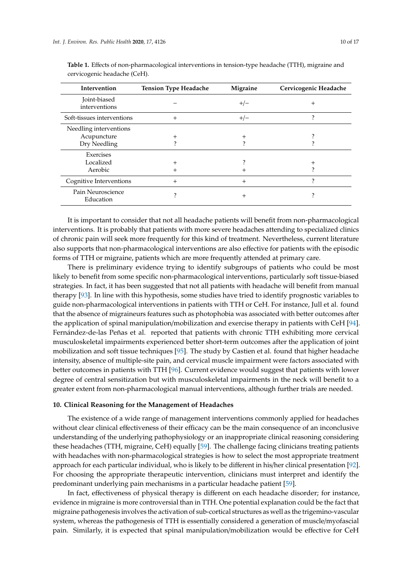| Intervention                   | <b>Tension Type Headache</b> | Migraine | Cervicogenic Headache |
|--------------------------------|------------------------------|----------|-----------------------|
| Joint-biased<br>interventions  |                              | $+/-$    | $^+$                  |
| Soft-tissues interventions     | $^{+}$                       | $+/-$    | າ                     |
| Needling interventions         |                              |          |                       |
| Acupuncture                    | $^{+}$                       | $^{+}$   |                       |
| Dry Needling                   |                              |          |                       |
| Exercises                      |                              |          |                       |
| Localized                      | $^+$                         |          | $^+$                  |
| Aerobic                        | $^+$                         | $^+$     |                       |
| Cognitive Interventions        | $^{+}$                       | $^{+}$   | 7                     |
| Pain Neuroscience<br>Education | າ                            | $^{+}$   |                       |

<span id="page-9-0"></span>**Table 1.** Effects of non-pharmacological interventions in tension-type headache (TTH), migraine and cervicogenic headache (CeH).

It is important to consider that not all headache patients will benefit from non-pharmacological interventions. It is probably that patients with more severe headaches attending to specialized clinics of chronic pain will seek more frequently for this kind of treatment. Nevertheless, current literature also supports that non-pharmacological interventions are also effective for patients with the episodic forms of TTH or migraine, patients which are more frequently attended at primary care.

There is preliminary evidence trying to identify subgroups of patients who could be most likely to benefit from some specific non-pharmacological interventions, particularly soft tissue-biased strategies. In fact, it has been suggested that not all patients with headache will benefit from manual therapy [\[93\]](#page-16-7). In line with this hypothesis, some studies have tried to identify prognostic variables to guide non-pharmacological interventions in patients with TTH or CeH. For instance, Jull et al. found that the absence of migraineurs features such as photophobia was associated with better outcomes after the application of spinal manipulation/mobilization and exercise therapy in patients with CeH [\[94\]](#page-16-8). Fernández-de-las Peñas et al. reported that patients with chronic TTH exhibiting more cervical musculoskeletal impairments experienced better short-term outcomes after the application of joint mobilization and soft tissue techniques [\[95\]](#page-16-9). The study by Castien et al. found that higher headache intensity, absence of multiple-site pain, and cervical muscle impairment were factors associated with better outcomes in patients with TTH [\[96\]](#page-16-10). Current evidence would suggest that patients with lower degree of central sensitization but with musculoskeletal impairments in the neck will benefit to a greater extent from non-pharmacological manual interventions, although further trials are needed.

#### **10. Clinical Reasoning for the Management of Headaches**

The existence of a wide range of management interventions commonly applied for headaches without clear clinical effectiveness of their efficacy can be the main consequence of an inconclusive understanding of the underlying pathophysiology or an inappropriate clinical reasoning considering these headaches (TTH, migraine, CeH) equally [\[59\]](#page-14-12). The challenge facing clinicians treating patients with headaches with non-pharmacological strategies is how to select the most appropriate treatment approach for each particular individual, who is likely to be different in his/her clinical presentation [\[92\]](#page-16-6). For choosing the appropriate therapeutic intervention, clinicians must interpret and identify the predominant underlying pain mechanisms in a particular headache patient [\[59\]](#page-14-12).

In fact, effectiveness of physical therapy is different on each headache disorder; for instance, evidence in migraine is more controversial than in TTH. One potential explanation could be the fact that migraine pathogenesis involves the activation of sub-cortical structures as well as the trigemino-vascular system, whereas the pathogenesis of TTH is essentially considered a generation of muscle/myofascial pain. Similarly, it is expected that spinal manipulation/mobilization would be effective for CeH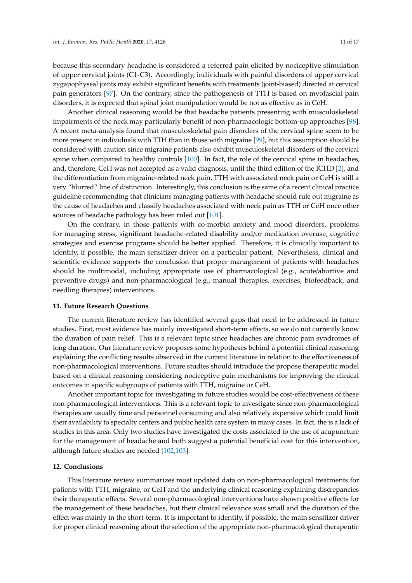because this secondary headache is considered a referred pain elicited by nociceptive stimulation of upper cervical joints (C1-C3). Accordingly, individuals with painful disorders of upper cervical zygapophyseal joints may exhibit significant benefits with treatments (joint-biased) directed at cervical pain generators [\[97\]](#page-16-11). On the contrary, since the pathogenesis of TTH is based on myofascial pain disorders, it is expected that spinal joint manipulation would be not as effective as in CeH.

Another clinical reasoning would be that headache patients presenting with musculoskeletal impairments of the neck may particularly benefit of non-pharmacologic bottom-up approaches [\[98\]](#page-16-12). A recent meta-analysis found that musculoskeletal pain disorders of the cervical spine seem to be more present in individuals with TTH than in those with migraine [\[99\]](#page-16-13), but this assumption should be considered with caution since migraine patients also exhibit musculoskeletal disorders of the cervical spine when compared to healthy controls [\[100\]](#page-16-14). In fact, the role of the cervical spine in headaches, and, therefore, CeH was not accepted as a valid diagnosis, until the third edition of the ICHD [\[2\]](#page-11-1), and the differentiation from migraine-related neck pain, TTH with associated neck pain or CeH is still a very "blurred" line of distinction. Interestingly, this conclusion is the same of a recent clinical practice guideline recommending that clinicians managing patients with headache should rule out migraine as the cause of headaches and classify headaches associated with neck pain as TTH or CeH once other sources of headache pathology has been ruled out [\[101\]](#page-16-15).

On the contrary, in those patients with co-morbid anxiety and mood disorders, problems for managing stress, significant headache-related disability and/or medication overuse, cognitive strategies and exercise programs should be better applied. Therefore, it is clinically important to identify, if possible, the main sensitizer driver on a particular patient. Nevertheless, clinical and scientific evidence supports the conclusion that proper management of patients with headaches should be multimodal, including appropriate use of pharmacological (e.g., acute/abortive and preventive drugs) and non-pharmacological (e.g., manual therapies, exercises, biofeedback, and needling therapies) interventions.

#### **11. Future Research Questions**

The current literature review has identified several gaps that need to be addressed in future studies. First, most evidence has mainly investigated short-term effects, so we do not currently know the duration of pain relief. This is a relevant topic since headaches are chronic pain syndromes of long duration. Our literature review proposes some hypotheses behind a potential clinical reasoning explaining the conflicting results observed in the current literature in relation to the effectiveness of non-pharmacological interventions. Future studies should introduce the propose therapeutic model based on a clinical reasoning considering nociceptive pain mechanisms for improving the clinical outcomes in specific subgroups of patients with TTH, migraine or CeH.

Another important topic for investigating in future studies would be cost-effectiveness of these non-pharmacological interventions. This is a relevant topic to investigate since non-pharmacological therapies are usually time and personnel consuming and also relatively expensive which could limit their availability to specialty centers and public health care system in many cases. In fact, the is a lack of studies in this area. Only two studies have investigated the costs associated to the use of acupuncture for the management of headache and both suggest a potential beneficial cost for this intervention, although future studies are needed [\[102](#page-16-16)[,103\]](#page-16-17).

#### **12. Conclusions**

This literature review summarizes most updated data on non-pharmacological treatments for patients with TTH, migraine, or CeH and the underlying clinical reasoning explaining discrepancies their therapeutic effects. Several non-pharmacological interventions have shown positive effects for the management of these headaches, but their clinical relevance was small and the duration of the effect was mainly in the short-term. It is important to identify, if possible, the main sensitizer driver for proper clinical reasoning about the selection of the appropriate non-pharmacological therapeutic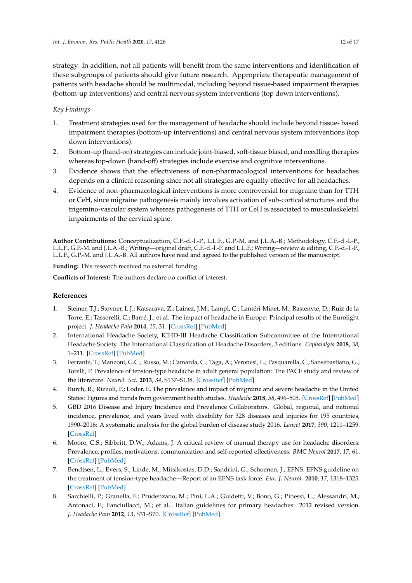strategy. In addition, not all patients will benefit from the same interventions and identification of these subgroups of patients should give future research. Appropriate therapeutic management of patients with headache should be multimodal, including beyond tissue-based impairment therapies (bottom-up interventions) and central nervous system interventions (top down interventions).

## *Key Findings*

- 1. Treatment strategies used for the management of headache should include beyond tissue- based impairment therapies (bottom-up interventions) and central nervous system interventions (top down interventions).
- 2. Bottom-up (hand-on) strategies can include joint-biased, soft-tissue biased, and needling therapies whereas top-down (hand-off) strategies include exercise and cognitive interventions.
- 3. Evidence shows that the effectiveness of non-pharmacological interventions for headaches depends on a clinical reasoning since not all strategies are equally effective for all headaches.
- 4. Evidence of non-pharmacological interventions is more controversial for migraine than for TTH or CeH, since migraine pathogenesis mainly involves activation of sub-cortical structures and the trigemino-vascular system whereas pathogenesis of TTH or CeH is associated to musculoskeletal impairments of the cervical spine.

**Author Contributions:** Conceptualization, C.F.-d.-l.-P., L.L.F., G.P.-M. and J.L.A.-B.; Methodology, C.F.-d.-l.-P., L.L.F., G.P.-M. and J.L.A.-B.; Writing—original draft, C.F.-d.-l.-P. and L.L.F.; Writing—review & editing, C.F.-d.-l.-P., L.L.F., G.P.-M. and J.L.A.-B. All authors have read and agreed to the published version of the manuscript.

**Funding:** This research received no external funding.

**Conflicts of Interest:** The authors declare no conflict of interest.

## **References**

- <span id="page-11-0"></span>1. Steiner, T.J.; Stovner, L.J.; Katsarava, Z.; Lainez, J.M.; Lampl, C.; Lantéri-Minet, M.; Rastenyte, D.; Ruiz de la Torre, E.; Tassorelli, C.; Barré, J.; et al. The impact of headache in Europe: Principal results of the Eurolight project. *J. Headache Pain* **2014**, *15*, 31. [\[CrossRef\]](http://dx.doi.org/10.1186/1129-2377-15-31) [\[PubMed\]](http://www.ncbi.nlm.nih.gov/pubmed/24884549)
- <span id="page-11-1"></span>2. International Headache Society, ICHD-III Headache Classification Subcommittee of the International Headache Society. The International Classification of Headache Disorders, 3 editions. *Cephalalgia* **2018**, *38*, 1–211. [\[CrossRef\]](http://dx.doi.org/10.1177/0333102417738202) [\[PubMed\]](http://www.ncbi.nlm.nih.gov/pubmed/29368949)
- <span id="page-11-2"></span>3. Ferrante, T.; Manzoni, G.C.; Russo, M.; Camarda, C.; Taga, A.; Veronesi, L.; Pasquarella, C.; Sansebastiano, G.; Torelli, P. Prevalence of tension-type headache in adult general population: The PACE study and review of the literature. *Neurol. Sci.* **2013**, *34*, S137–S138. [\[CrossRef\]](http://dx.doi.org/10.1007/s10072-013-1370-4) [\[PubMed\]](http://www.ncbi.nlm.nih.gov/pubmed/23695063)
- <span id="page-11-3"></span>4. Burch, R.; Rizzoli, P.; Loder, E. The prevalence and impact of migraine and severe headache in the United States: Figures and trends from government health studies. *Headache* **2018**, *58*, 496–505. [\[CrossRef\]](http://dx.doi.org/10.1111/head.13281) [\[PubMed\]](http://www.ncbi.nlm.nih.gov/pubmed/29527677)
- <span id="page-11-4"></span>5. GBD 2016 Disease and Injury Incidence and Prevalence Collaborators. Global, regional, and national incidence, prevalence, and years lived with disability for 328 diseases and injuries for 195 countries, 1990–2016: A systematic analysis for the global burden of disease study 2016. *Lancet* **2017**, *390*, 1211–1259. [\[CrossRef\]](http://dx.doi.org/10.1016/S0140-6736(17)32154-2)
- <span id="page-11-5"></span>6. Moore, C.S.; Sibbritt, D.W.; Adams, J. A critical review of manual therapy use for headache disorders: Prevalence, profiles, motivations, communication and self-reported effectiveness. *BMC Neurol* **2017**, *17*, 61. [\[CrossRef\]](http://dx.doi.org/10.1186/s12883-017-0835-0) [\[PubMed\]](http://www.ncbi.nlm.nih.gov/pubmed/28340566)
- <span id="page-11-6"></span>7. Bendtsen, L.; Evers, S.; Linde, M.; Mitsikostas, D.D.; Sandrini, G.; Schoenen, J.; EFNS. EFNS guideline on the treatment of tension-type headache—Report of an EFNS task force. *Eur. J. Neurol.* **2010**, *17*, 1318–1325. [\[CrossRef\]](http://dx.doi.org/10.1111/j.1468-1331.2010.03070.x) [\[PubMed\]](http://www.ncbi.nlm.nih.gov/pubmed/20482606)
- <span id="page-11-7"></span>8. Sarchielli, P.; Granella, F.; Prudenzano, M.; Pini, L.A.; Guidetti, V.; Bono, G.; Pinessi, L.; Alessandri, M.; Antonaci, F.; Fanciullacci, M.; et al. Italian guidelines for primary headaches: 2012 revised version. *J. Headache Pain* **2012**, *13*, S31–S70. [\[CrossRef\]](http://dx.doi.org/10.1007/s10194-012-0437-6) [\[PubMed\]](http://www.ncbi.nlm.nih.gov/pubmed/22581120)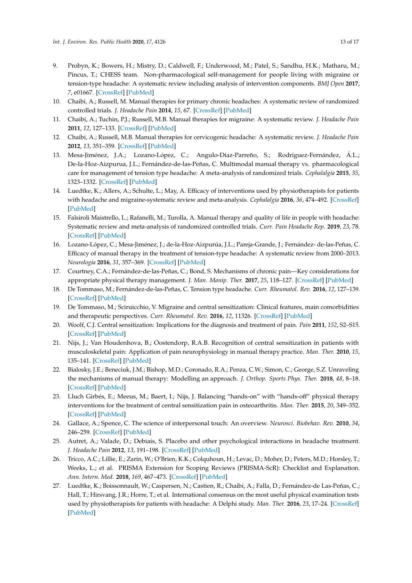- <span id="page-12-0"></span>9. Probyn, K.; Bowers, H.; Mistry, D.; Caldwell, F.; Underwood, M.; Patel, S.; Sandhu, H.K.; Matharu, M.; Pincus, T.; CHESS team. Non-pharmacological self-management for people living with migraine or tension-type headache: A systematic review including analysis of intervention components. *BMJ Open* **2017**, *7*, e01667. [\[CrossRef\]](http://dx.doi.org/10.1136/bmjopen-2017-016670) [\[PubMed\]](http://www.ncbi.nlm.nih.gov/pubmed/28801425)
- <span id="page-12-1"></span>10. Chaibi, A.; Russell, M. Manual therapies for primary chronic headaches: A systematic review of randomized controlled trials. *J. Headache Pain* **2014**, *15*, 67. [\[CrossRef\]](http://dx.doi.org/10.1186/1129-2377-15-67) [\[PubMed\]](http://www.ncbi.nlm.nih.gov/pubmed/25278005)
- <span id="page-12-2"></span>11. Chaibi, A.; Tuchin, P.J.; Russell, M.B. Manual therapies for migraine: A systematic review. *J. Headache Pain* **2011**, *12*, 127–133. [\[CrossRef\]](http://dx.doi.org/10.1007/s10194-011-0296-6) [\[PubMed\]](http://www.ncbi.nlm.nih.gov/pubmed/21298314)
- <span id="page-12-3"></span>12. Chaibi, A.; Russell, M.B. Manual therapies for cervicogenic headache: A systematic review. *J. Headache Pain* **2012**, *13*, 351–359. [\[CrossRef\]](http://dx.doi.org/10.1007/s10194-012-0436-7) [\[PubMed\]](http://www.ncbi.nlm.nih.gov/pubmed/22460941)
- <span id="page-12-4"></span>13. Mesa-Jiménez, J.A.; Lozano-López, C.; Angulo-Díaz-Parreño, S.; Rodríguez-Fernández, Á.L.; De-la-Hoz-Aizpurua, J.L.; Fernández-de-las-Peñas, C. Multimodal manual therapy vs. pharmacological care for management of tension type headache: A meta-analysis of randomized trials. *Cephalalgia* **2015**, *35*, 1323–1332. [\[CrossRef\]](http://dx.doi.org/10.1177/0333102415576226) [\[PubMed\]](http://www.ncbi.nlm.nih.gov/pubmed/25748428)
- <span id="page-12-5"></span>14. Luedtke, K.; Allers, A.; Schulte, L.; May, A. Efficacy of interventions used by physiotherapists for patients with headache and migraine-systematic review and meta-analysis. *Cephalalgia* **2016**, *36*, 474–492. [\[CrossRef\]](http://dx.doi.org/10.1177/0333102415597889) [\[PubMed\]](http://www.ncbi.nlm.nih.gov/pubmed/26229071)
- <span id="page-12-6"></span>15. Falsiroli Maistrello, L.; Rafanelli, M.; Turolla, A. Manual therapy and quality of life in people with headache: Systematic review and meta-analysis of randomized controlled trials. *Curr. Pain Headache Rep.* **2019**, *23*, 78. [\[CrossRef\]](http://dx.doi.org/10.1007/s11916-019-0815-8) [\[PubMed\]](http://www.ncbi.nlm.nih.gov/pubmed/31401702)
- <span id="page-12-7"></span>16. Lozano-López, C.; Mesa-Jiménez, J.; de-la-Hoz-Aizpurúa, J.L.; Pareja-Grande, J.; Fernández- de-las-Peñas, C. Efficacy of manual therapy in the treatment of tension-type headache: A systematic review from 2000–2013. *Neurologia* **2016**, *31*, 357–369. [\[CrossRef\]](http://dx.doi.org/10.1016/j.nrleng.2016.05.001) [\[PubMed\]](http://www.ncbi.nlm.nih.gov/pubmed/24856370)
- <span id="page-12-8"></span>17. Courtney, C.A.; Fernández-de-las-Peñas, C.; Bond, S. Mechanisms of chronic pain—Key considerations for appropriate physical therapy management. *J. Man. Manip. Ther.* **2017**, *25*, 118–127. [\[CrossRef\]](http://dx.doi.org/10.1080/10669817.2017.1300397) [\[PubMed\]](http://www.ncbi.nlm.nih.gov/pubmed/28694674)
- <span id="page-12-9"></span>18. De Tommaso, M.; Fernández-de-las-Peñas, C. Tension type headache. *Curr. Rheumatol. Rev.* **2016**, *12*, 127–139. [\[CrossRef\]](http://dx.doi.org/10.2174/1573397112666151231113625) [\[PubMed\]](http://www.ncbi.nlm.nih.gov/pubmed/26717946)
- <span id="page-12-10"></span>19. De Tommaso, M.; Sciruicchio, V. Migraine and central sensitization: Clinical features, main comorbidities and therapeutic perspectives. *Curr. Rheumatol. Rev.* **2016**, *12*, 11326. [\[CrossRef\]](http://dx.doi.org/10.2174/1573397112666151231110813) [\[PubMed\]](http://www.ncbi.nlm.nih.gov/pubmed/26717950)
- <span id="page-12-11"></span>20. Woolf, C.J. Central sensitization: Implications for the diagnosis and treatment of pain. *Pain* **2011**, *152*, S2–S15. [\[CrossRef\]](http://dx.doi.org/10.1016/j.pain.2010.09.030) [\[PubMed\]](http://www.ncbi.nlm.nih.gov/pubmed/20961685)
- <span id="page-12-12"></span>21. Nijs, J.; Van Houdenhova, B.; Oostendorp, R.A.B. Recognition of central sensitization in patients with musculoskeletal pain: Application of pain neurophysiology in manual therapy practice. *Man. Ther.* **2010**, *15*, 135–141. [\[CrossRef\]](http://dx.doi.org/10.1016/j.math.2009.12.001) [\[PubMed\]](http://www.ncbi.nlm.nih.gov/pubmed/20036180)
- <span id="page-12-13"></span>22. Bialosky, J.E.; Beneciuk, J.M.; Bishop, M.D.; Coronado, R.A.; Penza, C.W.; Simon, C.; George, S.Z. Unraveling the mechanisms of manual therapy: Modelling an approach. *J. Orthop. Sports Phys. Ther.* **2018**, *48*, 8–18. [\[CrossRef\]](http://dx.doi.org/10.2519/jospt.2018.7476) [\[PubMed\]](http://www.ncbi.nlm.nih.gov/pubmed/29034802)
- <span id="page-12-14"></span>23. Lluch Girbés, E.; Meeus, M.; Baert, I.; Nijs, J. Balancing "hands-on" with "hands-off" physical therapy interventions for the treatment of central sensitization pain in osteoarthritis. *Man. Ther.* **2015**, *20*, 349–352. [\[CrossRef\]](http://dx.doi.org/10.1016/j.math.2014.07.017) [\[PubMed\]](http://www.ncbi.nlm.nih.gov/pubmed/25169787)
- <span id="page-12-15"></span>24. Gallace, A.; Spence, C. The science of interpersonal touch: An overview. *Neurosci. Biobehav. Rev.* **2010**, *34*, 246–259. [\[CrossRef\]](http://dx.doi.org/10.1016/j.neubiorev.2008.10.004) [\[PubMed\]](http://www.ncbi.nlm.nih.gov/pubmed/18992276)
- <span id="page-12-16"></span>25. Autret, A.; Valade, D.; Debiais, S. Placebo and other psychological interactions in headache treatment. *J. Headache Pain* **2012**, *13*, 191–198. [\[CrossRef\]](http://dx.doi.org/10.1007/s10194-012-0422-0) [\[PubMed\]](http://www.ncbi.nlm.nih.gov/pubmed/22367630)
- <span id="page-12-17"></span>26. Tricco, A.C.; Lillie, E.; Zarin, W.; O'Brien, K.K.; Colquhoun, H.; Levac, D.; Moher, D.; Peters, M.D.; Horsley, T.; Weeks, L.; et al. PRISMA Extension for Scoping Reviews (PRISMA-ScR): Checklist and Explanation. *Ann. Intern. Med.* **2018**, *169*, 467–473. [\[CrossRef\]](http://dx.doi.org/10.7326/M18-0850) [\[PubMed\]](http://www.ncbi.nlm.nih.gov/pubmed/30178033)
- <span id="page-12-18"></span>27. Luedtke, K.; Boissonnault, W.; Caspersen, N.; Castien, R.; Chaibi, A.; Falla, D.; Fernández-de Las-Peñas, C.; Hall, T.; Hirsvang, J.R.; Horre, T.; et al. International consensus on the most useful physical examination tests used by physiotherapists for patients with headache: A Delphi study. *Man. Ther.* **2016**, *23*, 17–24. [\[CrossRef\]](http://dx.doi.org/10.1016/j.math.2016.02.010) [\[PubMed\]](http://www.ncbi.nlm.nih.gov/pubmed/27183831)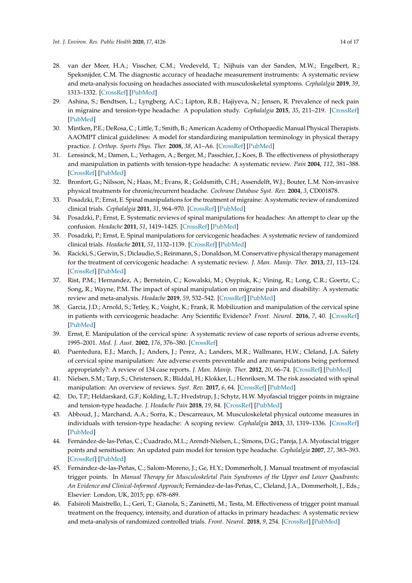- <span id="page-13-0"></span>28. van der Meer, H.A.; Visscher, C.M.; Vredeveld, T.; Nijhuis van der Sanden, M.W.; Engelbert, R.; Speksnijder, C.M. The diagnostic accuracy of headache measurement instruments: A systematic review and meta-analysis focusing on headaches associated with musculoskeletal symptoms. *Cephalalgia* **2019**, *39*, 1313–1332. [\[CrossRef\]](http://dx.doi.org/10.1177/0333102419840777) [\[PubMed\]](http://www.ncbi.nlm.nih.gov/pubmed/30997838)
- <span id="page-13-1"></span>29. Ashina, S.; Bendtsen, L.; Lyngberg, A.C.; Lipton, R.B.; Hajiyeva, N.; Jensen, R. Prevalence of neck pain in migraine and tension-type headache: A population study. *Cephalalgia* **2015**, *35*, 211–219. [\[CrossRef\]](http://dx.doi.org/10.1177/0333102414535110) [\[PubMed\]](http://www.ncbi.nlm.nih.gov/pubmed/24853166)
- <span id="page-13-2"></span>30. Mintken, P.E.; DeRosa, C.; Little, T.; Smith, B.; American Academy of Orthopaedic Manual Physical Therapists. AAOMPT clinical guidelines: A model for standardizing manipulation terminology in physical therapy practice. *J. Orthop. Sports Phys. Ther.* **2008**, *38*, A1–A6. [\[CrossRef\]](http://dx.doi.org/10.2519/jospt.2008.0301) [\[PubMed\]](http://www.ncbi.nlm.nih.gov/pubmed/18349498)
- <span id="page-13-3"></span>31. Lenssinck, M.; Damen, L.; Verhagen, A.; Berger, M.; Passchier, J.; Koes, B. The effectiveness of physiotherapy and manipulation in patients with tension-type headache: A systematic review. *Pain* **2004**, *112*, 381–388. [\[CrossRef\]](http://dx.doi.org/10.1016/j.pain.2004.09.026) [\[PubMed\]](http://www.ncbi.nlm.nih.gov/pubmed/15561394)
- <span id="page-13-4"></span>32. Bronfort, G.; Nilsson, N.; Haas, M.; Evans, R.; Goldsmith, C.H.; Assendelft, W.J.; Bouter, L.M. Non-invasive physical treatments for chronic/recurrent headache. *Cochrane Database Syst. Rev.* **2004**, *3*, CD001878.
- <span id="page-13-5"></span>33. Posadzki, P.; Ernst, E. Spinal manipulations for the treatment of migraine: A systematic review of randomized clinical trials. *Cephalalgia* **2011**, *31*, 964–970. [\[CrossRef\]](http://dx.doi.org/10.1177/0333102411405226) [\[PubMed\]](http://www.ncbi.nlm.nih.gov/pubmed/21511952)
- <span id="page-13-6"></span>34. Posadzki, P.; Ernst, E. Systematic reviews of spinal manipulations for headaches: An attempt to clear up the confusion. *Headache* **2011**, *51*, 1419–1425. [\[CrossRef\]](http://dx.doi.org/10.1111/j.1526-4610.2011.01888.x) [\[PubMed\]](http://www.ncbi.nlm.nih.gov/pubmed/21453329)
- <span id="page-13-7"></span>35. Posadzki, P.; Ernst, E. Spinal manipulations for cervicogenic headaches: A systematic review of randomized clinical trials. *Headache* **2011**, *51*, 1132–1139. [\[CrossRef\]](http://dx.doi.org/10.1111/j.1526-4610.2011.01932.x) [\[PubMed\]](http://www.ncbi.nlm.nih.gov/pubmed/21649656)
- <span id="page-13-8"></span>36. Racicki, S.; Gerwin, S.; Diclaudio, S.; Reinmann, S.; Donaldson, M. Conservative physical therapy management for the treatment of cervicogenic headache: A systematic review. *J. Man. Manip. Ther.* **2013**, *21*, 113–124. [\[CrossRef\]](http://dx.doi.org/10.1179/2042618612Y.0000000025) [\[PubMed\]](http://www.ncbi.nlm.nih.gov/pubmed/24421621)
- <span id="page-13-9"></span>37. Rist, P.M.; Hernandez, A.; Bernstein, C.; Kowalski, M.; Osypiuk, K.; Vining, R.; Long, C.R.; Goertz, C.; Song, R.; Wayne, P.M. The impact of spinal manipulation on migraine pain and disability: A systematic review and meta-analysis. *Headache* **2019**, *59*, 532–542. [\[CrossRef\]](http://dx.doi.org/10.1111/head.13501) [\[PubMed\]](http://www.ncbi.nlm.nih.gov/pubmed/30973196)
- <span id="page-13-10"></span>38. Garcia, J.D.; Arnold, S.; Tetley, K.; Voight, K.; Frank, R. Mobilization and manipulation of the cervical spine in patients with cervicogenic headache: Any Scientific Evidence? *Front. Neurol.* **2016**, *7*, 40. [\[CrossRef\]](http://dx.doi.org/10.3389/fneur.2016.00040) [\[PubMed\]](http://www.ncbi.nlm.nih.gov/pubmed/27047446)
- <span id="page-13-11"></span>39. Ernst, E. Manipulation of the cervical spine: A systematic review of case reports of serious adverse events, 1995–2001. *Med. J. Aust.* **2002**, *176*, 376–380. [\[CrossRef\]](http://dx.doi.org/10.5694/j.1326-5377.2002.tb04459.x)
- <span id="page-13-12"></span>40. Puentedura, E.J.; March, J.; Anders, J.; Perez, A.; Landers, M.R.; Wallmann, H.W.; Cleland, J.A. Safety of cervical spine manipulation: Are adverse events preventable and are manipulations being performed appropriately?: A review of 134 case reports. *J. Man. Manip. Ther.* **2012**, *20*, 66–74. [\[CrossRef\]](http://dx.doi.org/10.1179/2042618611Y.0000000022) [\[PubMed\]](http://www.ncbi.nlm.nih.gov/pubmed/23633885)
- <span id="page-13-13"></span>41. Nielsen, S.M.; Tarp, S.; Christensen, R.; Bliddal, H.; Klokker, L.; Henriksen, M. The risk associated with spinal manipulation: An overview of reviews. *Syst. Rev.* **2017**, *6*, 64. [\[CrossRef\]](http://dx.doi.org/10.1186/s13643-017-0458-y) [\[PubMed\]](http://www.ncbi.nlm.nih.gov/pubmed/28340595)
- <span id="page-13-14"></span>42. Do, T.P.; Heldarskard, G.F.; Kolding, L.T.; Hvedstrup, J.; Schytz, H.W. Myofascial trigger points in migraine and tension-type headache. *J. Headache Pain* **2018**, *19*, 84. [\[CrossRef\]](http://dx.doi.org/10.1186/s10194-018-0913-8) [\[PubMed\]](http://www.ncbi.nlm.nih.gov/pubmed/30203398)
- <span id="page-13-15"></span>43. Abboud, J.; Marchand, A.A.; Sorra, K.; Descarreaux, M. Musculoskeletal physical outcome measures in individuals with tension-type headache: A scoping review. *Cephalalgia* **2013**, *33*, 1319–1336. [\[CrossRef\]](http://dx.doi.org/10.1177/0333102413492913) [\[PubMed\]](http://www.ncbi.nlm.nih.gov/pubmed/23804285)
- <span id="page-13-16"></span>44. Fernández-de-las-Peñas, C.; Cuadrado, M.L.; Arendt-Nielsen, L.; Simons, D.G.; Pareja, J.A. Myofascial trigger points and sensitisation: An updated pain model for tension type headache. *Cephalalgia* **2007**, *27*, 383–393. [\[CrossRef\]](http://dx.doi.org/10.1111/j.1468-2982.2007.01295.x) [\[PubMed\]](http://www.ncbi.nlm.nih.gov/pubmed/17359516)
- <span id="page-13-17"></span>45. Fernández-de-las-Peñas, C.; Salom-Moreno, J.; Ge, H.Y.; Dommerholt, J. Manual treatment of myofascial trigger points. In *Manual Therapy for Musculoskeletal Pain Syndromes of the Upper and Lower Quadrants: An Evidence and Clinical-Informed Approach*; Fernández-de-las-Peñas, C., Cleland, J.A., Dommerholt, J., Eds.; Elsevier: London, UK, 2015; pp. 678–689.
- <span id="page-13-18"></span>46. Falsiroli Maistrello, L.; Geri, T.; Gianola, S.; Zaninetti, M.; Testa, M. Effectiveness of trigger point manual treatment on the frequency, intensity, and duration of attacks in primary headaches: A systematic review and meta-analysis of randomized controlled trials. *Front. Neurol.* **2018**, *9*, 254. [\[CrossRef\]](http://dx.doi.org/10.3389/fneur.2018.00254) [\[PubMed\]](http://www.ncbi.nlm.nih.gov/pubmed/29740386)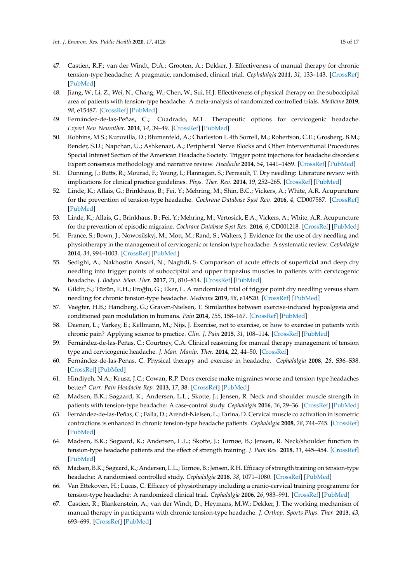- <span id="page-14-0"></span>47. Castien, R.F.; van der Windt, D.A.; Grooten, A.; Dekker, J. Effectiveness of manual therapy for chronic tension-type headache: A pragmatic, randomised, clinical trial. *Cephalalgia* **2011**, *31*, 133–143. [\[CrossRef\]](http://dx.doi.org/10.1177/0333102410377362) [\[PubMed\]](http://www.ncbi.nlm.nih.gov/pubmed/20647241)
- <span id="page-14-1"></span>48. Jiang, W.; Li, Z.; Wei, N.; Chang, W.; Chen, W.; Sui, H.J. Effectiveness of physical therapy on the suboccipital area of patients with tension-type headache: A meta-analysis of randomized controlled trials. *Medicine* **2019**, *98*, e15487. [\[CrossRef\]](http://dx.doi.org/10.1097/MD.0000000000015487) [\[PubMed\]](http://www.ncbi.nlm.nih.gov/pubmed/31083183)
- <span id="page-14-2"></span>49. Fernández-de-las-Peñas, C.; Cuadrado, M.L. Therapeutic options for cervicogenic headache. *Expert Rev. Neurother.* **2014**, *14*, 39–49. [\[CrossRef\]](http://dx.doi.org/10.1586/14737175.2014.863710) [\[PubMed\]](http://www.ncbi.nlm.nih.gov/pubmed/24308280)
- <span id="page-14-3"></span>50. Robbins, M.S.; Kuruvilla, D.; Blumenfeld, A.; Charleston L 4th Sorrell, M.; Robertson, C.E.; Grosberg, B.M.; Bender, S.D.; Napchan, U.; Ashkenazi, A.; Peripheral Nerve Blocks and Other Interventional Procedures Special Interest Section of the American Headache Society. Trigger point injections for headache disorders: Expert consensus methodology and narrative review. *Headache* **2014**, *54*, 1441–1459. [\[CrossRef\]](http://dx.doi.org/10.1111/head.12442) [\[PubMed\]](http://www.ncbi.nlm.nih.gov/pubmed/25168295)
- <span id="page-14-4"></span>51. Dunning, J.; Butts, R.; Mourad, F.; Young, I.; Flannagan, S.; Perreault, T. Dry needling: Literature review with implications for clinical practice guidelines. *Phys. Ther. Rev.* **2014**, *19*, 252–265. [\[CrossRef\]](http://dx.doi.org/10.1179/108331913X13844245102034) [\[PubMed\]](http://www.ncbi.nlm.nih.gov/pubmed/25143704)
- <span id="page-14-5"></span>52. Linde, K.; Allais, G.; Brinkhaus, B.; Fei, Y.; Mehring, M.; Shin, B.C.; Vickers, A.; White, A.R. Acupuncture for the prevention of tension-type headache. *Cochrane Database Syst Rev.* **2016**, *4*, CD007587. [\[CrossRef\]](http://dx.doi.org/10.1002/14651858.CD007587.pub2) [\[PubMed\]](http://www.ncbi.nlm.nih.gov/pubmed/27092807)
- <span id="page-14-6"></span>53. Linde, K.; Allais, G.; Brinkhaus, B.; Fei, Y.; Mehring, M.; Vertosick, E.A.; Vickers, A.; White, A.R. Acupuncture for the prevention of episodic migraine. *Cochrane Database Syst Rev.* **2016**, *6*, CD001218. [\[CrossRef\]](http://dx.doi.org/10.1002/14651858.CD001218.pub3) [\[PubMed\]](http://www.ncbi.nlm.nih.gov/pubmed/27351677)
- <span id="page-14-7"></span>54. France, S.; Bown, J.; Nowosilskyj, M.; Mott, M.; Rand, S.; Walters, J. Evidence for the use of dry needling and physiotherapy in the management of cervicogenic or tension type headache: A systematic review. *Cephalalgia* **2014**, *34*, 994–1003. [\[CrossRef\]](http://dx.doi.org/10.1177/0333102414523847) [\[PubMed\]](http://www.ncbi.nlm.nih.gov/pubmed/24623124)
- <span id="page-14-8"></span>55. Sedighi, A.; Nakhostin Ansari, N.; Naghdi, S. Comparison of acute effects of superficial and deep dry needling into trigger points of suboccipital and upper trapezius muscles in patients with cervicogenic headache. *J. Bodyw. Mov. Ther.* **2017**, *21*, 810–814. [\[CrossRef\]](http://dx.doi.org/10.1016/j.jbmt.2017.01.002) [\[PubMed\]](http://www.ncbi.nlm.nih.gov/pubmed/29037632)
- <span id="page-14-9"></span>56. Gildir, S.; Tüzün, E.H.; Eroğlu, G.; Eker, L. A randomized trial of trigger point dry needling versus sham needling for chronic tension-type headache. *Medicine* **2019**, *98*, e14520. [\[CrossRef\]](http://dx.doi.org/10.1097/MD.0000000000014520) [\[PubMed\]](http://www.ncbi.nlm.nih.gov/pubmed/30813155)
- <span id="page-14-10"></span>57. Vaegter, H.B.; Handberg, G.; Graven-Nielsen, T. Similarities between exercise-induced hypoalgesia and conditioned pain modulation in humans. *Pain* **2014**, *155*, 158–167. [\[CrossRef\]](http://dx.doi.org/10.1016/j.pain.2013.09.023) [\[PubMed\]](http://www.ncbi.nlm.nih.gov/pubmed/24076045)
- <span id="page-14-11"></span>58. Daenen, L.; Varkey, E.; Kellmann, M.; Nijs, J. Exercise, not to exercise, or how to exercise in patients with chronic pain? Applying science to practice. *Clin. J. Pain* **2015**, *31*, 108–114. [\[CrossRef\]](http://dx.doi.org/10.1097/AJP.0000000000000099) [\[PubMed\]](http://www.ncbi.nlm.nih.gov/pubmed/24662498)
- <span id="page-14-12"></span>59. Fernández-de-las-Peñas, C.; Courtney, C.A. Clinical reasoning for manual therapy management of tension type and cervicogenic headache. *J. Man. Manip. Ther.* **2014**, *22*, 44–50. [\[CrossRef\]](http://dx.doi.org/10.1179/2042618613Y.0000000050)
- <span id="page-14-13"></span>60. Fernández-de-las-Peñas, C. Physical therapy and exercise in headache. *Cephalalgia* **2008**, *28*, S36–S38. [\[CrossRef\]](http://dx.doi.org/10.1111/j.1468-2982.2008.01618.x) [\[PubMed\]](http://www.ncbi.nlm.nih.gov/pubmed/18494995)
- <span id="page-14-14"></span>61. Hindiyeh, N.A.; Krusz, J.C.; Cowan, R.P. Does exercise make migraines worse and tension type headaches better? *Curr. Pain Headache Rep.* **2013**, *17*, 38. [\[CrossRef\]](http://dx.doi.org/10.1007/s11916-013-0380-5) [\[PubMed\]](http://www.ncbi.nlm.nih.gov/pubmed/24234818)
- <span id="page-14-15"></span>62. Madsen, B.K.; Søgaard, K.; Andersen, L.L.; Skotte, J.; Jensen, R. Neck and shoulder muscle strength in patients with tension-type headache: A case-control study. *Cephalalgia* **2016**, *36*, 29–36. [\[CrossRef\]](http://dx.doi.org/10.1177/0333102415576726) [\[PubMed\]](http://www.ncbi.nlm.nih.gov/pubmed/25834271)
- <span id="page-14-16"></span>63. Fernández-de-las-Peñas, C.; Falla, D.; Arendt-Nielsen, L.; Farina, D. Cervical muscle co activation in isometric contractions is enhanced in chronic tension-type headache patients. *Cephalalgia* **2008**, *28*, 744–745. [\[CrossRef\]](http://dx.doi.org/10.1111/j.1468-2982.2008.01584.x) [\[PubMed\]](http://www.ncbi.nlm.nih.gov/pubmed/18460003)
- <span id="page-14-17"></span>64. Madsen, B.K.; Søgaard, K.; Andersen, L.L.; Skotte, J.; Tornøe, B.; Jensen, R. Neck/shoulder function in tension-type headache patients and the effect of strength training. *J. Pain Res.* **2018**, *11*, 445–454. [\[CrossRef\]](http://dx.doi.org/10.2147/JPR.S146050) [\[PubMed\]](http://www.ncbi.nlm.nih.gov/pubmed/29503581)
- 65. Madsen, B.K.; Søgaard, K.; Andersen, L.L.; Tornøe, B.; Jensen, R.H. Efficacy of strength training on tension-type headache: A randomised controlled study. *Cephalalgia* **2018**, *38*, 1071–1080. [\[CrossRef\]](http://dx.doi.org/10.1177/0333102417722521) [\[PubMed\]](http://www.ncbi.nlm.nih.gov/pubmed/28750588)
- <span id="page-14-18"></span>66. Van Ettekoven, H.; Lucas, C. Efficacy of physiotherapy including a cranio-cervical training programme for tension-type headache: A randomized clinical trial. *Cephalalgia* **2006**, *26*, 983–991. [\[CrossRef\]](http://dx.doi.org/10.1111/j.1468-2982.2006.01163.x) [\[PubMed\]](http://www.ncbi.nlm.nih.gov/pubmed/16886935)
- <span id="page-14-19"></span>67. Castien, R.; Blankenstein, A.; van der Windt, D.; Heymans, M.W.; Dekker, J. The working mechanism of manual therapy in participants with chronic tension-type headache. *J. Orthop. Sports Phys. Ther.* **2013**, *43*, 693–699. [\[CrossRef\]](http://dx.doi.org/10.2519/jospt.2013.4868) [\[PubMed\]](http://www.ncbi.nlm.nih.gov/pubmed/24256171)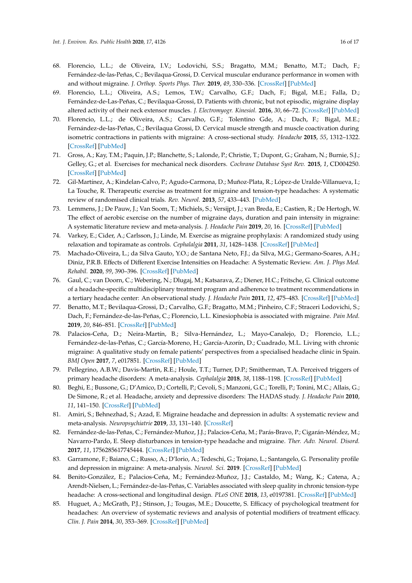- <span id="page-15-0"></span>68. Florencio, L.L.; de Oliveira, I.V.; Lodovichi, S.S.; Bragatto, M.M.; Benatto, M.T.; Dach, F.; Fernández-de-las-Peñas, C.; Bevilaqua-Grossi, D. Cervical muscular endurance performance in women with and without migraine. *J. Orthop. Sports Phys. Ther.* **2019**, *49*, 330–336. [\[CrossRef\]](http://dx.doi.org/10.2519/jospt.2019.8816) [\[PubMed\]](http://www.ncbi.nlm.nih.gov/pubmed/30913971)
- <span id="page-15-1"></span>69. Florencio, L.L.; Oliveira, A.S.; Lemos, T.W.; Carvalho, G.F.; Dach, F.; Bigal, M.E.; Falla, D.; Fernández-de-Las-Peñas, C.; Bevilaqua-Grossi, D. Patients with chronic, but not episodic, migraine display altered activity of their neck extensor muscles. *J. Electromyogr. Kinesiol.* **2016**, *30*, 66–72. [\[CrossRef\]](http://dx.doi.org/10.1016/j.jelekin.2016.06.003) [\[PubMed\]](http://www.ncbi.nlm.nih.gov/pubmed/27317975)
- <span id="page-15-2"></span>70. Florencio, L.L.; de Oliveira, A.S.; Carvalho, G.F.; Tolentino Gde, A.; Dach, F.; Bigal, M.E.; Fernández-de-las-Peñas, C.; Bevilaqua Grossi, D. Cervical muscle strength and muscle coactivation during isometric contractions in patients with migraine: A cross-sectional study. *Headache* **2015**, *55*, 1312–1322. [\[CrossRef\]](http://dx.doi.org/10.1111/head.12644) [\[PubMed\]](http://www.ncbi.nlm.nih.gov/pubmed/26388193)
- <span id="page-15-3"></span>71. Gross, A.; Kay, T.M.; Paquin, J.P.; Blanchette, S.; Lalonde, P.; Christie, T.; Dupont, G.; Graham, N.; Burnie, S.J.; Gelley, G.; et al. Exercises for mechanical neck disorders. *Cochrane Database Syst Rev.* **2015**, *1*, CD004250. [\[CrossRef\]](http://dx.doi.org/10.1002/14651858.CD004250.pub5) [\[PubMed\]](http://www.ncbi.nlm.nih.gov/pubmed/25629215)
- <span id="page-15-4"></span>72. Gil-Martínez, A.; Kindelan-Calvo, P.; Agudo-Carmona, D.; Muñoz-Plata, R.; López-de Uralde-Villanueva, I.; La Touche, R. Therapeutic exercise as treatment for migraine and tension-type headaches: A systematic review of randomised clinical trials. *Rev. Neurol.* **2013**, *57*, 433–443. [\[PubMed\]](http://www.ncbi.nlm.nih.gov/pubmed/24203665)
- <span id="page-15-5"></span>73. Lemmens, J.; De Pauw, J.; Van Soom, T.; Michiels, S.; Versijpt, J.; van Breda, E.; Castien, R.; De Hertogh, W. The effect of aerobic exercise on the number of migraine days, duration and pain intensity in migraine: A systematic literature review and meta-analysis. *J. Headache Pain* **2019**, *20*, 16. [\[CrossRef\]](http://dx.doi.org/10.1186/s10194-019-0961-8) [\[PubMed\]](http://www.ncbi.nlm.nih.gov/pubmed/30764753)
- <span id="page-15-6"></span>74. Varkey, E.; Cider, A.; Carlsson, J.; Linde, M. Exercise as migraine prophylaxis: A randomized study using relaxation and topiramate as controls. *Cephalalgia* **2011**, *31*, 1428–1438. [\[CrossRef\]](http://dx.doi.org/10.1177/0333102411419681) [\[PubMed\]](http://www.ncbi.nlm.nih.gov/pubmed/21890526)
- <span id="page-15-7"></span>75. Machado-Oliveira, L.; da Silva Gauto, Y.O.; de Santana Neto, F.J.; da Silva, M.G.; Germano-Soares, A.H.; Diniz, P.R.B. Effects of Different Exercise Intensities on Headache: A Systematic Review. *Am. J. Phys Med. Rehabil.* **2020**, *99*, 390–396. [\[CrossRef\]](http://dx.doi.org/10.1097/PHM.0000000000001349) [\[PubMed\]](http://www.ncbi.nlm.nih.gov/pubmed/31725018)
- <span id="page-15-8"></span>76. Gaul, C.; van Doorn, C.; Webering, N.; Dlugaj, M.; Katsarava, Z.; Diener, H.C.; Fritsche, G. Clinical outcome of a headache-specific multidisciplinary treatment program and adherence to treatment recommendations in a tertiary headache center: An observational study. *J. Headache Pain* **2011**, *12*, 475–483. [\[CrossRef\]](http://dx.doi.org/10.1007/s10194-011-0348-y) [\[PubMed\]](http://www.ncbi.nlm.nih.gov/pubmed/21544647)
- <span id="page-15-9"></span>77. Benatto, M.T.; Bevilaqua-Grossi, D.; Carvalho, G.F.; Bragatto, M.M.; Pinheiro, C.F.; Straceri Lodovichi, S.; Dach, F.; Fernández-de-las-Peñas, C.; Florencio, L.L. Kinesiophobia is associated with migraine. *Pain Med.* **2019**, *20*, 846–851. [\[CrossRef\]](http://dx.doi.org/10.1093/pm/pny206) [\[PubMed\]](http://www.ncbi.nlm.nih.gov/pubmed/30462312)
- <span id="page-15-10"></span>78. Palacios-Ceña, D.; Neira-Martín, B.; Silva-Hernández, L.; Mayo-Canalejo, D.; Florencio, L.L.; Fernández-de-las-Peñas, C.; García-Moreno, H.; García-Azorín, D.; Cuadrado, M.L. Living with chronic migraine: A qualitative study on female patients' perspectives from a specialised headache clinic in Spain. *BMJ Open* **2017**, *7*, e017851. [\[CrossRef\]](http://dx.doi.org/10.1136/bmjopen-2017-017851) [\[PubMed\]](http://www.ncbi.nlm.nih.gov/pubmed/28827275)
- <span id="page-15-11"></span>79. Pellegrino, A.B.W.; Davis-Martin, R.E.; Houle, T.T.; Turner, D.P.; Smitherman, T.A. Perceived triggers of primary headache disorders: A meta-analysis. *Cephalalgia* **2018**, *38*, 1188–1198. [\[CrossRef\]](http://dx.doi.org/10.1177/0333102417727535) [\[PubMed\]](http://www.ncbi.nlm.nih.gov/pubmed/28825314)
- <span id="page-15-12"></span>80. Beghi, E.; Bussone, G.; D'Amico, D.; Cortelli, P.; Cevoli, S.; Manzoni, G.C.; Torelli, P.; Tonini, M.C.; Allais, G.; De Simone, R.; et al. Headache, anxiety and depressive disorders: The HADAS study. *J. Headache Pain* **2010**, *11*, 141–150. [\[CrossRef\]](http://dx.doi.org/10.1007/s10194-010-0187-2) [\[PubMed\]](http://www.ncbi.nlm.nih.gov/pubmed/20108021)
- <span id="page-15-13"></span>81. Amiri, S.; Behnezhad, S.; Azad, E. Migraine headache and depression in adults: A systematic review and meta-analysis. *Neuropsychiatrie* **2019**, *33*, 131–140. [\[CrossRef\]](http://dx.doi.org/10.1007/s40211-018-0299-5)
- <span id="page-15-14"></span>82. Fernández-de-las-Peñas, C.; Fernández-Muñoz, J.J.; Palacios-Ceña, M.; Parás-Bravo, P.; Cigarán-Méndez, M.; Navarro-Pardo, E. Sleep disturbances in tension-type headache and migraine. *Ther. Adv. Neurol. Disord.* **2017**, *11*, 1756285617745444. [\[CrossRef\]](http://dx.doi.org/10.1177/1756285617745444) [\[PubMed\]](http://www.ncbi.nlm.nih.gov/pubmed/29399051)
- <span id="page-15-15"></span>83. Garramone, F.; Baiano, C.; Russo, A.; D'Iorio, A.; Tedeschi, G.; Trojano, L.; Santangelo, G. Personality profile and depression in migraine: A meta-analysis. *Neurol. Sci.* **2019**. [\[CrossRef\]](http://dx.doi.org/10.1007/s10072-019-04174-x) [\[PubMed\]](http://www.ncbi.nlm.nih.gov/pubmed/31832997)
- <span id="page-15-16"></span>84. Benito-González, E.; Palacios-Ceña, M.; Fernández-Muñoz, J.J.; Castaldo, M.; Wang, K.; Catena, A.; Arendt-Nielsen, L.; Fernández-de-las-Peñas, C. Variables associated with sleep quality in chronic tension-type headache: A cross-sectional and longitudinal design. *PLoS ONE* **2018**, *13*, e0197381. [\[CrossRef\]](http://dx.doi.org/10.1371/journal.pone.0197381) [\[PubMed\]](http://www.ncbi.nlm.nih.gov/pubmed/29771988)
- <span id="page-15-17"></span>85. Huguet, A.; McGrath, P.J.; Stinson, J.; Tougas, M.E.; Doucette, S. Efficacy of psychological treatment for headaches: An overview of systematic reviews and analysis of potential modifiers of treatment efficacy. *Clin. J. Pain* **2014**, *30*, 353–369. [\[CrossRef\]](http://dx.doi.org/10.1097/AJP.0b013e318298dd8b) [\[PubMed\]](http://www.ncbi.nlm.nih.gov/pubmed/23823250)